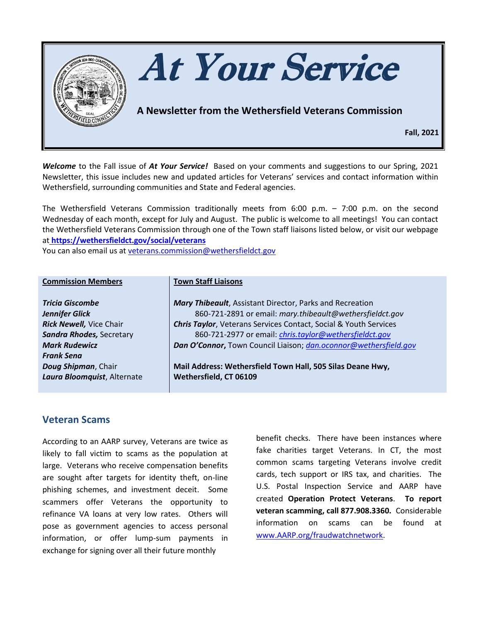

*Welcome* to the Fall issue of *At Your Service!* Based on your comments and suggestions to our Spring, 2021 Newsletter, this issue includes new and updated articles for Veterans' services and contact information within Wethersfield, surrounding communities and State and Federal agencies.

The Wethersfield Veterans Commission traditionally meets from 6:00 p.m. – 7:00 p.m. on the second Wednesday of each month, except for July and August. The public is welcome to all meetings! You can contact the Wethersfield Veterans Commission through one of the Town staff liaisons listed below, or visit our webpage at **<https://wethersfieldct.gov/social/veterans>**

You can also email us at [veterans.commission@wethersfieldct.gov](mailto:veterans.commission@wethersfieldct.gov)

| <b>Commission Members</b>      | <b>Town Staff Liaisons</b>                                               |
|--------------------------------|--------------------------------------------------------------------------|
| Tricia Giscombe                | Mary Thibeault, Assistant Director, Parks and Recreation                 |
| Jennifer Glick                 | 860-721-2891 or email: mary.thibeault@wethersfieldct.gov                 |
| <b>Rick Newell, Vice Chair</b> | <b>Chris Taylor</b> , Veterans Services Contact, Social & Youth Services |
| Sandra Rhodes, Secretary       | 860-721-2977 or email: <i>chris.taylor@wethersfieldct.gov</i>            |
| <b>Mark Rudewicz</b>           | Dan O'Connor, Town Council Liaison; dan.oconnor@wethersfield.gov         |
| <b>Frank Sena</b>              |                                                                          |
| Doug Shipman, Chair            | Mail Address: Wethersfield Town Hall, 505 Silas Deane Hwy,               |
| Laura Bloomquist, Alternate    | Wethersfield, CT 06109                                                   |
|                                |                                                                          |

### **Veteran Scams**

According to an AARP survey, Veterans are twice as likely to fall victim to scams as the population at large. Veterans who receive compensation benefits are sought after targets for identity theft, on-line phishing schemes, and investment deceit. Some scammers offer Veterans the opportunity to refinance VA loans at very low rates. Others will pose as government agencies to access personal information, or offer lump-sum payments in exchange for signing over all their future monthly

benefit checks. There have been instances where fake charities target Veterans. In CT, the most common scams targeting Veterans involve credit cards, tech support or IRS tax, and charities. The U.S. Postal Inspection Service and AARP have created **Operation Protect Veterans**. **To report veteran scamming, call 877.908.3360.** Considerable information on scams can be found at [www.AARP.org/fraudwatchnetwork.](http://www.aarp.org/fraudwatchnetwork)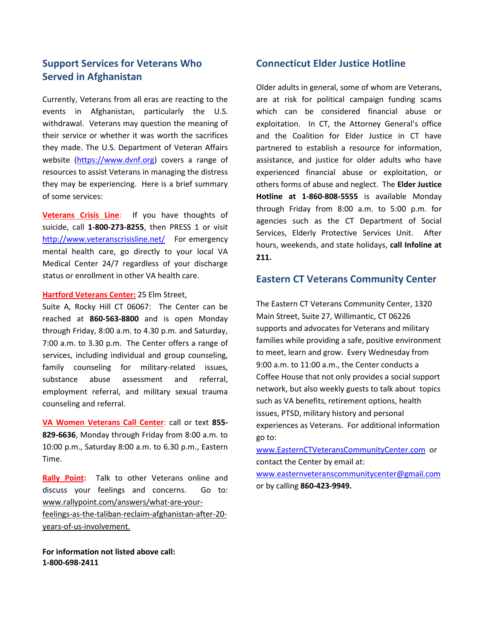### **Support Services for Veterans Who Served in Afghanistan**

Currently, Veterans from all eras are reacting to the events in Afghanistan, particularly the U.S. withdrawal. Veterans may question the meaning of their service or whether it was worth the sacrifices they made. The U.S. Department of Veteran Affairs website [\(https://www.dvnf.org\)](https://www.dvnf.org/) covers a range of resources to assist Veterans in managing the distress they may be experiencing. Here is a brief summary of some services:

**Veterans Crisis Line**: If you have thoughts of suicide, call **1-800-273-8255**, then PRESS 1 or visit <http://www.veteranscrisisline.net/> For emergency mental health care, go directly to your local VA Medical Center 24/7 regardless of your discharge status or enrollment in other VA health care.

#### **Hartford Veterans Center:** 25 Elm Street,

Suite A, Rocky Hill CT 06067: The Center can be reached at **860-563-8800** and is open Monday through Friday, 8:00 a.m. to 4.30 p.m. and Saturday, 7:00 a.m. to 3.30 p.m. The Center offers a range of services, including individual and group counseling, family counseling for military-related issues, substance abuse assessment and referral, employment referral, and military sexual trauma counseling and referral.

**VA Women Veterans Call Center**: call or text **855- 829-6636**, Monday through Friday from 8:00 a.m. to 10:00 p.m., Saturday 8:00 a.m. to 6.30 p.m., Eastern Time.

**Rally Point:** Talk to other Veterans online and discuss your feelings and concerns. Go to: [www.rallypoint.com/answers/what-a](http://www.rallypoint.com/answers/what-)re-your-

feelings-as-the-taliban-reclaim-afghanistan-after-20 years-of-us-involvement.

**For information not listed above call: 1-800-698-2411**

#### **Connecticut Elder Justice Hotline**

Older adults in general, some of whom are Veterans, are at risk for political campaign funding scams which can be considered financial abuse or exploitation. In CT, the Attorney General's office and the Coalition for Elder Justice in CT have partnered to establish a resource for information, assistance, and justice for older adults who have experienced financial abuse or exploitation, or others forms of abuse and neglect. The **Elder Justice Hotline at 1-860-808-5555** is available Monday through Friday from 8:00 a.m. to 5:00 p.m. for agencies such as the CT Department of Social Services, Elderly Protective Services Unit. After hours, weekends, and state holidays, **call Infoline at 211.**

#### **Eastern CT Veterans Community Center**

The Eastern CT Veterans Community Center, 1320 Main Street, Suite 27, Willimantic, CT 06226 supports and advocates for Veterans and military families while providing a safe, positive environment to meet, learn and grow. Every Wednesday from 9:00 a.m. to 11:00 a.m., the Center conducts a Coffee House that not only provides a social support network, but also weekly guests to talk about topics such as VA benefits, retirement options, health issues, PTSD, military history and personal experiences as Veterans. For additional information go to:

[www.EasternCTVeteransCommunityCenter.com](http://www.easternctveteranscommunitycenter.com/) or contact the Center by email at:

[www.easternveteranscommunitycenter@gmail.com](http://www.easternveteranscommunitycenter@gmail.com) or by calling **860-423-9949.**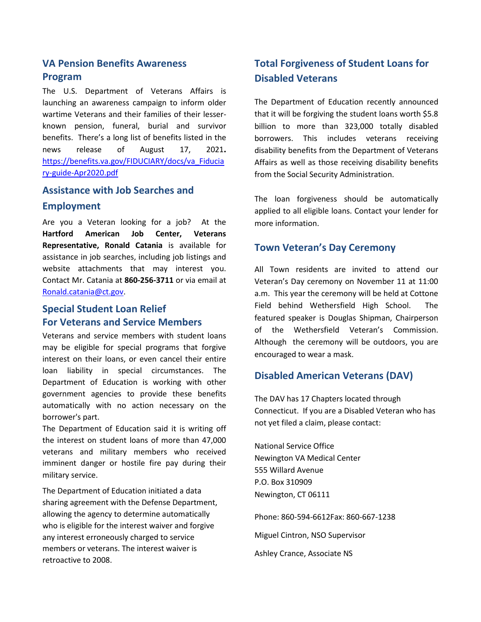# **VA Pension Benefits Awareness Program**

The U.S. Department of Veterans Affairs is launching an awareness campaign to inform older wartime Veterans and their families of their lesserknown pension, funeral, burial and survivor benefits. There's a long list of benefits listed in the news release of August 17, 2021**.** [https://benefits.va.gov/FIDUCIARY/docs/va\\_Fiducia](https://benefits.va.gov/FIDUCIARY/docs/va_Fiduciary-guide-Apr2020.pdf) [ry-guide-Apr2020.pdf](https://benefits.va.gov/FIDUCIARY/docs/va_Fiduciary-guide-Apr2020.pdf)

#### **Assistance with Job Searches and**

#### **Employment**

Are you a Veteran looking for a job? At the **Hartford American Job Center, Veterans Representative, Ronald Catania** is available for assistance in job searches, including job listings and website attachments that may interest you. Contact Mr. Catania at **860-256-3711** or via email at [Ronald.catania@ct.gov.](mailto:Ronald.catania@ct.gov)

## **Special Student Loan Relief For Veterans and Service Members**

Veterans and service members with student loans may be eligible for special programs that forgive interest on their loans, or even cancel their entire loan liability in special circumstances. The Department of Education is working with other government agencies to provide these benefits automatically with no action necessary on the borrower's part.

The Department of Education said it is writing off the interest on student loans of more than 47,000 veterans and military members who received imminent danger or hostile fire pay during their military service.

The Department of Education initiated a data sharing agreement with the Defense Department, allowing the agency to determine automatically who is eligible for the interest waiver and forgive any interest erroneously charged to service members or veterans. The interest waiver is retroactive to 2008.

# **Total Forgiveness of Student Loans for Disabled Veterans**

The Department of Education recently announced that it will be forgiving the student loans worth \$5.8 billion to more than 323,000 totally disabled borrowers. This includes veterans receiving disability benefits from the Department of Veterans Affairs as well as those receiving disability benefits from the Social Security Administration.

The loan forgiveness should be automatically applied to all eligible loans. Contact your lender for more information.

#### **Town Veteran's Day Ceremony**

All Town residents are invited to attend our Veteran's Day ceremony on November 11 at 11:00 a.m. This year the ceremony will be held at Cottone Field behind Wethersfield High School. The featured speaker is Douglas Shipman, Chairperson of the Wethersfield Veteran's Commission. Although the ceremony will be outdoors, you are encouraged to wear a mask.

### **Disabled American Veterans (DAV)**

The DAV has 17 Chapters located through Connecticut. If you are a Disabled Veteran who has not yet filed a claim, please contact:

National Service Office Newington VA Medical Center 555 Willard Avenue P.O. Box 310909 Newington, CT 06111

Phone: 860-594-6612Fax: 860-667-1238

Miguel Cintron, NSO Supervisor

Ashley Crance, Associate NS